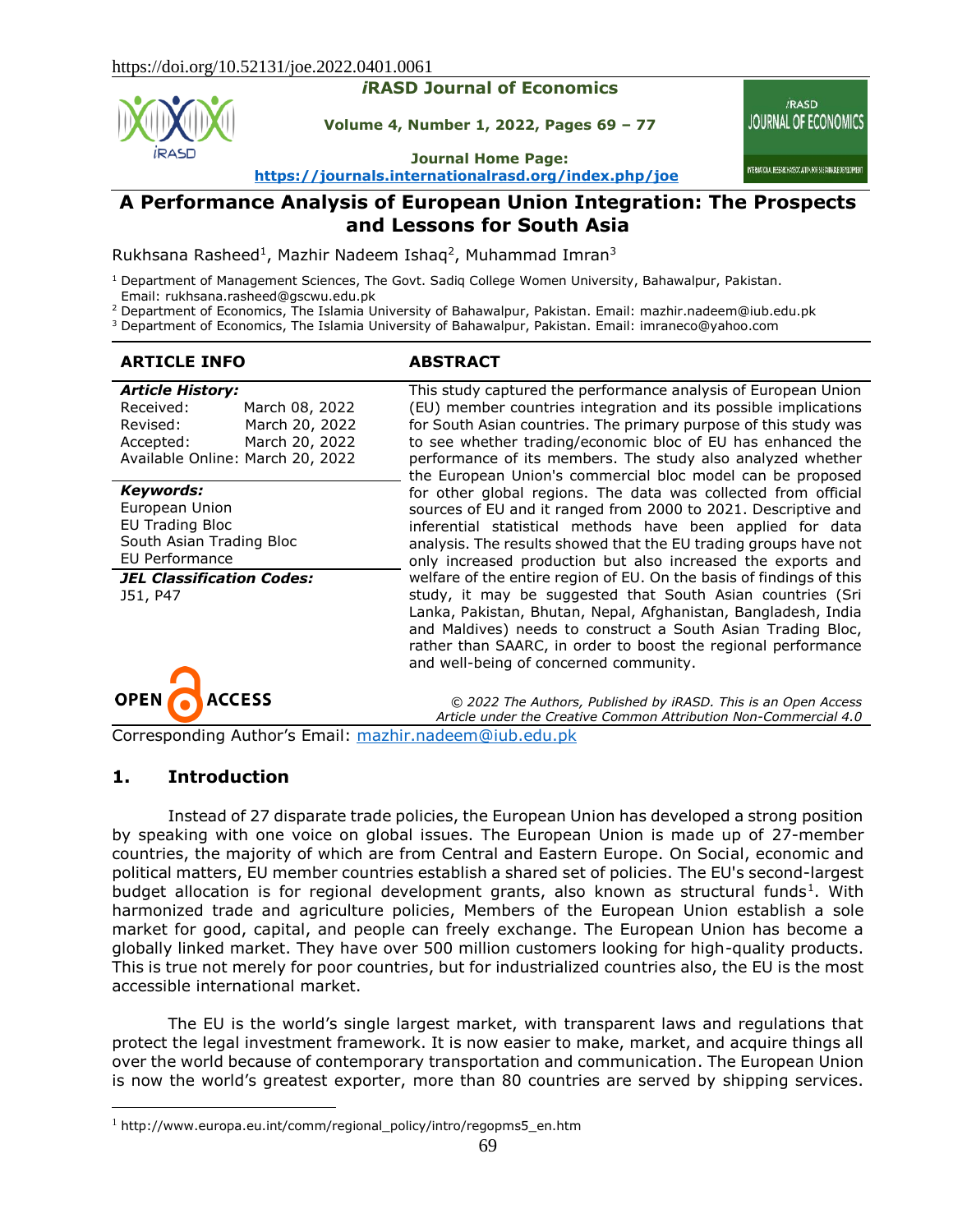#### *i***RASD Journal of Economics**

**Volume 4, Number 1, 2022, Pages 69 – 77**

**Journal Home Page: <https://journals.internationalrasd.org/index.php/joe>**

*iRASD* **JOURNAL OF ECONOMICS** 

INTERNATIONAL RESEARCH ASSOCIATION FOR SUSTAINABLE DEVELOPMENT

# **A Performance Analysis of European Union Integration: The Prospects and Lessons for South Asia**

Rukhsana Rasheed<sup>1</sup>, Mazhir Nadeem Ishaq<sup>2</sup>, Muhammad Imran<sup>3</sup>

<sup>1</sup> Department of Management Sciences, The Govt. Sadiq College Women University, Bahawalpur, Pakistan. Email: rukhsana.rasheed@gscwu.edu.pk

<sup>2</sup> Department of Economics, The Islamia University of Bahawalpur, Pakistan. Email: mazhir.nadeem@iub.edu.pk

<sup>3</sup> Department of Economics, The Islamia University of Bahawalpur, Pakistan. Email: imraneco@yahoo.com

#### **ARTICLE INFO ABSTRACT**

| <b>Article History:</b><br>Received:<br>Revised:<br>Accepted:<br>Available Online: March 20, 2022                                                   | March 08, 2022<br>March 20, 2022<br>March 20, 2022 | This study captured the performance analysis of European Union<br>(EU) member countries integration and its possible implications<br>for South Asian countries. The primary purpose of this study was<br>to see whether trading/economic bloc of EU has enhanced the<br>performance of its members. The study also analyzed whether<br>the European Union's commercial bloc model can be proposed                                                                        |
|-----------------------------------------------------------------------------------------------------------------------------------------------------|----------------------------------------------------|--------------------------------------------------------------------------------------------------------------------------------------------------------------------------------------------------------------------------------------------------------------------------------------------------------------------------------------------------------------------------------------------------------------------------------------------------------------------------|
| Keywords:<br>European Union<br><b>EU Trading Bloc</b><br>South Asian Trading Bloc<br>EU Performance<br><b>JEL Classification Codes:</b><br>J51, P47 |                                                    | for other global regions. The data was collected from official<br>sources of EU and it ranged from 2000 to 2021. Descriptive and<br>inferential statistical methods have been applied for data<br>analysis. The results showed that the EU trading groups have not<br>only increased production but also increased the exports and<br>welfare of the entire region of EU. On the basis of findings of this<br>study, it may be suggested that South Asian countries (Sri |
|                                                                                                                                                     |                                                    | Lanka, Pakistan, Bhutan, Nepal, Afghanistan, Bangladesh, India<br>and Maldives) needs to construct a South Asian Trading Bloc,<br>rather than SAARC, in order to boost the regional performance<br>and well-being of concerned community.                                                                                                                                                                                                                                |

**AND ACCESS OPEN** 

*© 2022 The Authors, Published by iRASD. This is an Open Access Article under the Creative Common Attribution Non-Commercial 4.0*

Corresponding Author's Email: [mazhir.nadeem@iub.edu.pk](mailto:mazhir.nadeem@iub.edu.pk)

#### **1. Introduction**

 $\overline{a}$ 

Instead of 27 disparate trade policies, the European Union has developed a strong position by speaking with one voice on global issues. The European Union is made up of 27-member countries, the majority of which are from Central and Eastern Europe. On Social, economic and political matters, EU member countries establish a shared set of policies. The EU's second-largest budget allocation is for regional development grants, also known as structural funds<sup>1</sup>. With harmonized trade and agriculture policies, Members of the European Union establish a sole market for good, capital, and people can freely exchange. The European Union has become a globally linked market. They have over 500 million customers looking for high-quality products. This is true not merely for poor countries, but for industrialized countries also, the EU is the most accessible international market.

The EU is the world's single largest market, with transparent laws and regulations that protect the legal investment framework. It is now easier to make, market, and acquire things all over the world because of contemporary transportation and communication. The European Union is now the world's greatest exporter, more than 80 countries are served by shipping services.

 $1$  http://www.europa.eu.int/comm/regional\_policy/intro/regopms5\_en.htm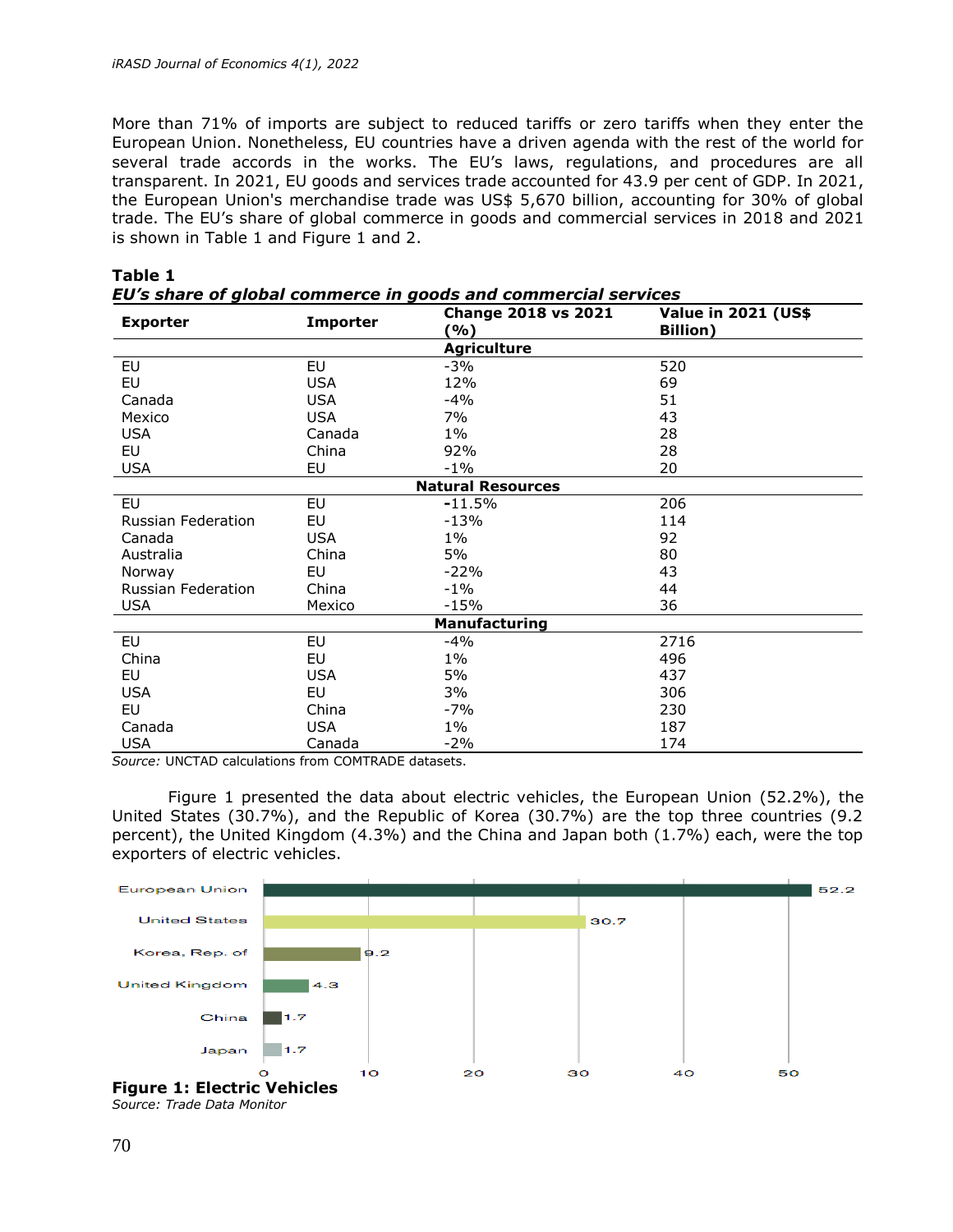More than 71% of imports are subject to reduced tariffs or zero tariffs when they enter the European Union. Nonetheless, EU countries have a driven agenda with the rest of the world for several trade accords in the works. The EU's laws, regulations, and procedures are all transparent. In 2021, EU goods and services trade accounted for 43.9 per cent of GDP. In 2021, the European Union's merchandise trade was US\$ 5,670 billion, accounting for 30% of global trade. The EU's share of global commerce in goods and commercial services in 2018 and 2021 is shown in Table 1 and Figure 1 and 2.

| <b>Exporter</b>           | <b>Importer</b> | <b>Change 2018 vs 2021</b><br>(%) | <b>Value in 2021 (US\$</b><br><b>Billion</b> ) |  |  |
|---------------------------|-----------------|-----------------------------------|------------------------------------------------|--|--|
|                           |                 | <b>Agriculture</b>                |                                                |  |  |
| EU                        | EU              | $-3%$                             | 520                                            |  |  |
| EU                        | <b>USA</b>      | 12%                               | 69                                             |  |  |
| Canada                    | <b>USA</b>      | $-4%$                             | 51                                             |  |  |
| Mexico                    | <b>USA</b>      | 7%                                | 43                                             |  |  |
| <b>USA</b>                | Canada          | $1\%$                             | 28                                             |  |  |
| EU                        | China           | 92%                               | 28                                             |  |  |
| <b>USA</b>                | EU              | $-1\%$                            | 20                                             |  |  |
| <b>Natural Resources</b>  |                 |                                   |                                                |  |  |
| EU                        | <b>EU</b>       | $-11.5%$                          | 206                                            |  |  |
| <b>Russian Federation</b> | EU              | $-13%$                            | 114                                            |  |  |
| Canada                    | <b>USA</b>      | $1\%$                             | 92                                             |  |  |
| Australia                 | China           | 5%                                | 80                                             |  |  |
| Norway                    | EU              | $-22%$                            | 43                                             |  |  |
| <b>Russian Federation</b> | China           | $-1\%$                            | 44                                             |  |  |
| <b>USA</b>                | Mexico          | $-15%$                            | 36                                             |  |  |
| <b>Manufacturing</b>      |                 |                                   |                                                |  |  |
| EU                        | EU              | $-4%$                             | 2716                                           |  |  |
| China                     | EU              | $1\%$                             | 496                                            |  |  |
| EU                        | <b>USA</b>      | 5%                                | 437                                            |  |  |
| <b>USA</b>                | EU              | 3%                                | 306                                            |  |  |
| EU                        | China           | $-7%$                             | 230                                            |  |  |
| Canada                    | <b>USA</b>      | $1\%$                             | 187                                            |  |  |
| <b>USA</b>                | Canada          | $-2%$                             | 174                                            |  |  |

#### **Table 1** *EU's share of global commerce in goods and commercial services*

*Source:* UNCTAD calculations from COMTRADE datasets.

Figure 1 presented the data about electric vehicles, the European Union (52.2%), the United States (30.7%), and the Republic of Korea (30.7%) are the top three countries (9.2 percent), the United Kingdom (4.3%) and the China and Japan both (1.7%) each, were the top exporters of electric vehicles.



*Source: Trade Data Monitor*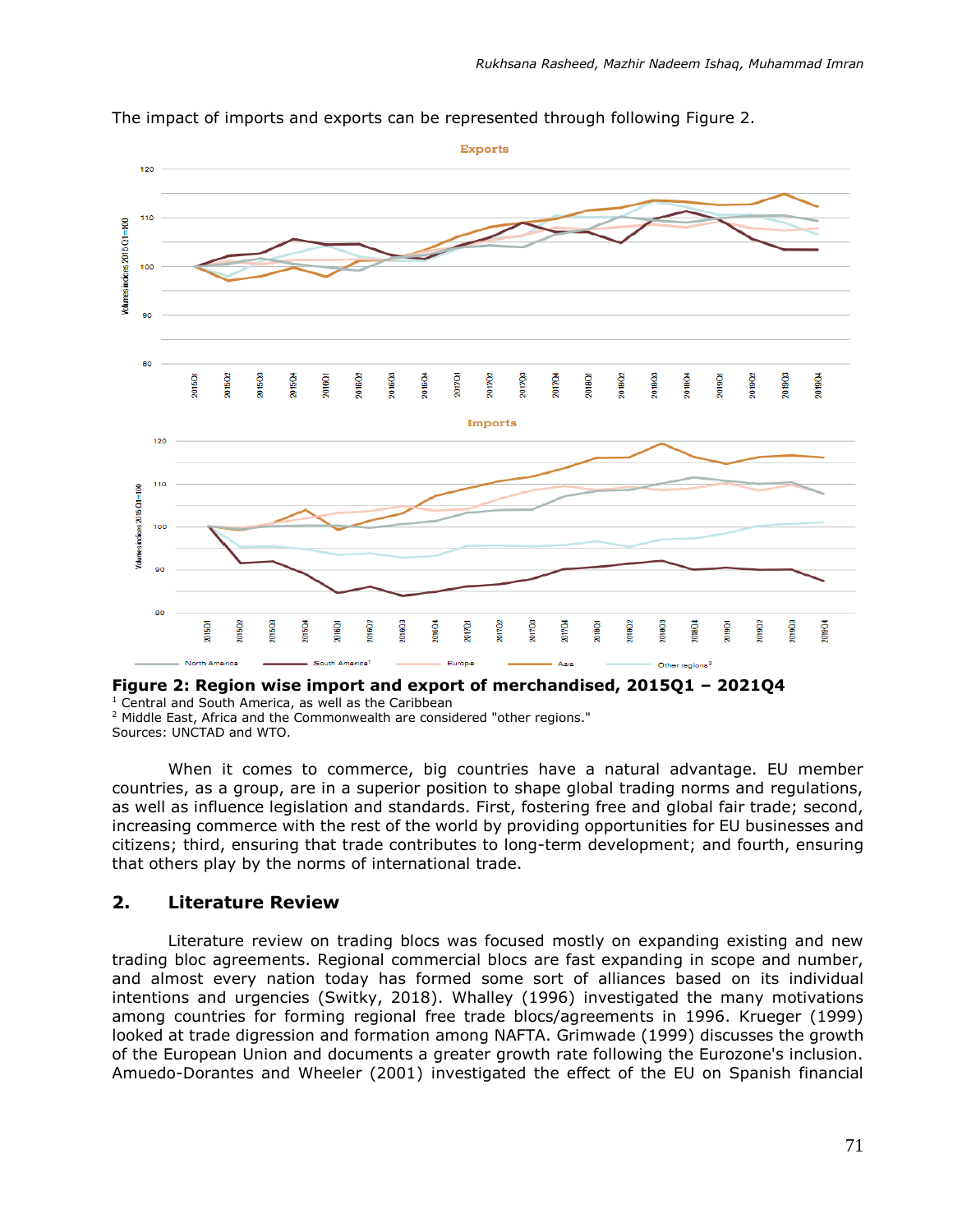

The impact of imports and exports can be represented through following Figure 2.

#### **Figure 2: Region wise import and export of merchandised, 2015Q1 – 2021Q4**

<sup>1</sup> Central and South America, as well as the Caribbean

<sup>2</sup> Middle East, Africa and the Commonwealth are considered "other regions." Sources: UNCTAD and WTO.

When it comes to commerce, big countries have a natural advantage. EU member countries, as a group, are in a superior position to shape global trading norms and regulations, as well as influence legislation and standards. First, fostering free and global fair trade; second, increasing commerce with the rest of the world by providing opportunities for EU businesses and citizens; third, ensuring that trade contributes to long-term development; and fourth, ensuring that others play by the norms of international trade.

#### **2. Literature Review**

Literature review on trading blocs was focused mostly on expanding existing and new trading bloc agreements. Regional commercial blocs are fast expanding in scope and number, and almost every nation today has formed some sort of alliances based on its individual intentions and urgencies (Switky, 2018). Whalley (1996) investigated the many motivations among countries for forming regional free trade blocs/agreements in 1996. Krueger (1999) looked at trade digression and formation among NAFTA. Grimwade (1999) discusses the growth of the European Union and documents a greater growth rate following the Eurozone's inclusion. Amuedo-Dorantes and Wheeler (2001) investigated the effect of the EU on Spanish financial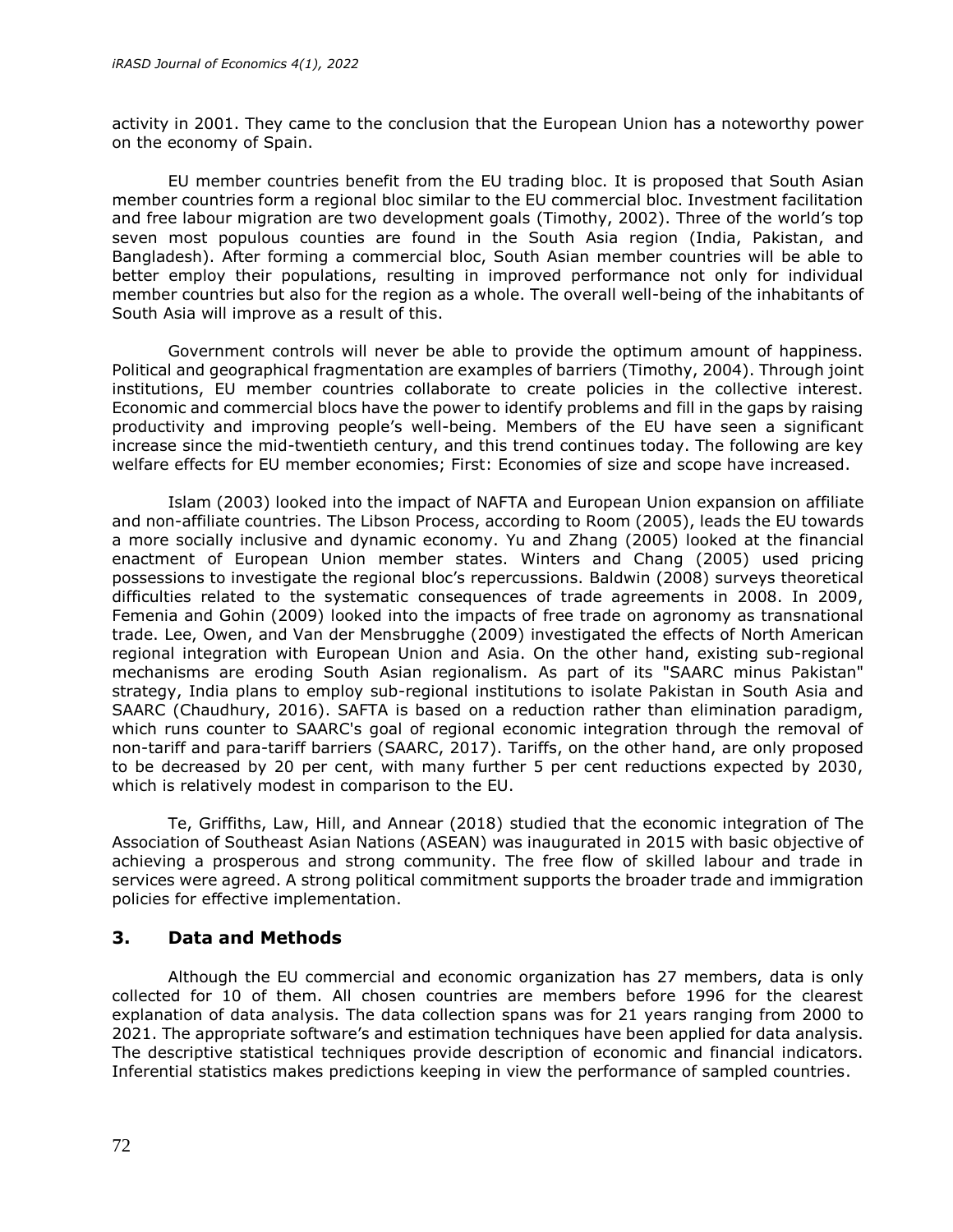activity in 2001. They came to the conclusion that the European Union has a noteworthy power on the economy of Spain.

EU member countries benefit from the EU trading bloc. It is proposed that South Asian member countries form a regional bloc similar to the EU commercial bloc. Investment facilitation and free labour migration are two development goals (Timothy, 2002). Three of the world's top seven most populous counties are found in the South Asia region (India, Pakistan, and Bangladesh). After forming a commercial bloc, South Asian member countries will be able to better employ their populations, resulting in improved performance not only for individual member countries but also for the region as a whole. The overall well-being of the inhabitants of South Asia will improve as a result of this.

Government controls will never be able to provide the optimum amount of happiness. Political and geographical fragmentation are examples of barriers (Timothy, 2004). Through joint institutions, EU member countries collaborate to create policies in the collective interest. Economic and commercial blocs have the power to identify problems and fill in the gaps by raising productivity and improving people's well-being. Members of the EU have seen a significant increase since the mid-twentieth century, and this trend continues today. The following are key welfare effects for EU member economies; First: Economies of size and scope have increased.

Islam (2003) looked into the impact of NAFTA and European Union expansion on affiliate and non-affiliate countries. The Libson Process, according to Room (2005), leads the EU towards a more socially inclusive and dynamic economy. Yu and Zhang (2005) looked at the financial enactment of European Union member states. Winters and Chang (2005) used pricing possessions to investigate the regional bloc's repercussions. Baldwin (2008) surveys theoretical difficulties related to the systematic consequences of trade agreements in 2008. In 2009, Femenia and Gohin (2009) looked into the impacts of free trade on agronomy as transnational trade. Lee, Owen, and Van der Mensbrugghe (2009) investigated the effects of North American regional integration with European Union and Asia. On the other hand, existing sub-regional mechanisms are eroding South Asian regionalism. As part of its "SAARC minus Pakistan" strategy, India plans to employ sub-regional institutions to isolate Pakistan in South Asia and SAARC (Chaudhury, 2016). SAFTA is based on a reduction rather than elimination paradigm, which runs counter to SAARC's goal of regional economic integration through the removal of non-tariff and para-tariff barriers (SAARC, 2017). Tariffs, on the other hand, are only proposed to be decreased by 20 per cent, with many further 5 per cent reductions expected by 2030, which is relatively modest in comparison to the EU.

Te, Griffiths, Law, Hill, and Annear (2018) studied that the economic integration of The Association of Southeast Asian Nations (ASEAN) was inaugurated in 2015 with basic objective of achieving a prosperous and strong community. The free flow of skilled labour and trade in services were agreed. A strong political commitment supports the broader trade and immigration policies for effective implementation.

#### **3. Data and Methods**

Although the EU commercial and economic organization has 27 members, data is only collected for 10 of them. All chosen countries are members before 1996 for the clearest explanation of data analysis. The data collection spans was for 21 years ranging from 2000 to 2021. The appropriate software's and estimation techniques have been applied for data analysis. The descriptive statistical techniques provide description of economic and financial indicators. Inferential statistics makes predictions keeping in view the performance of sampled countries.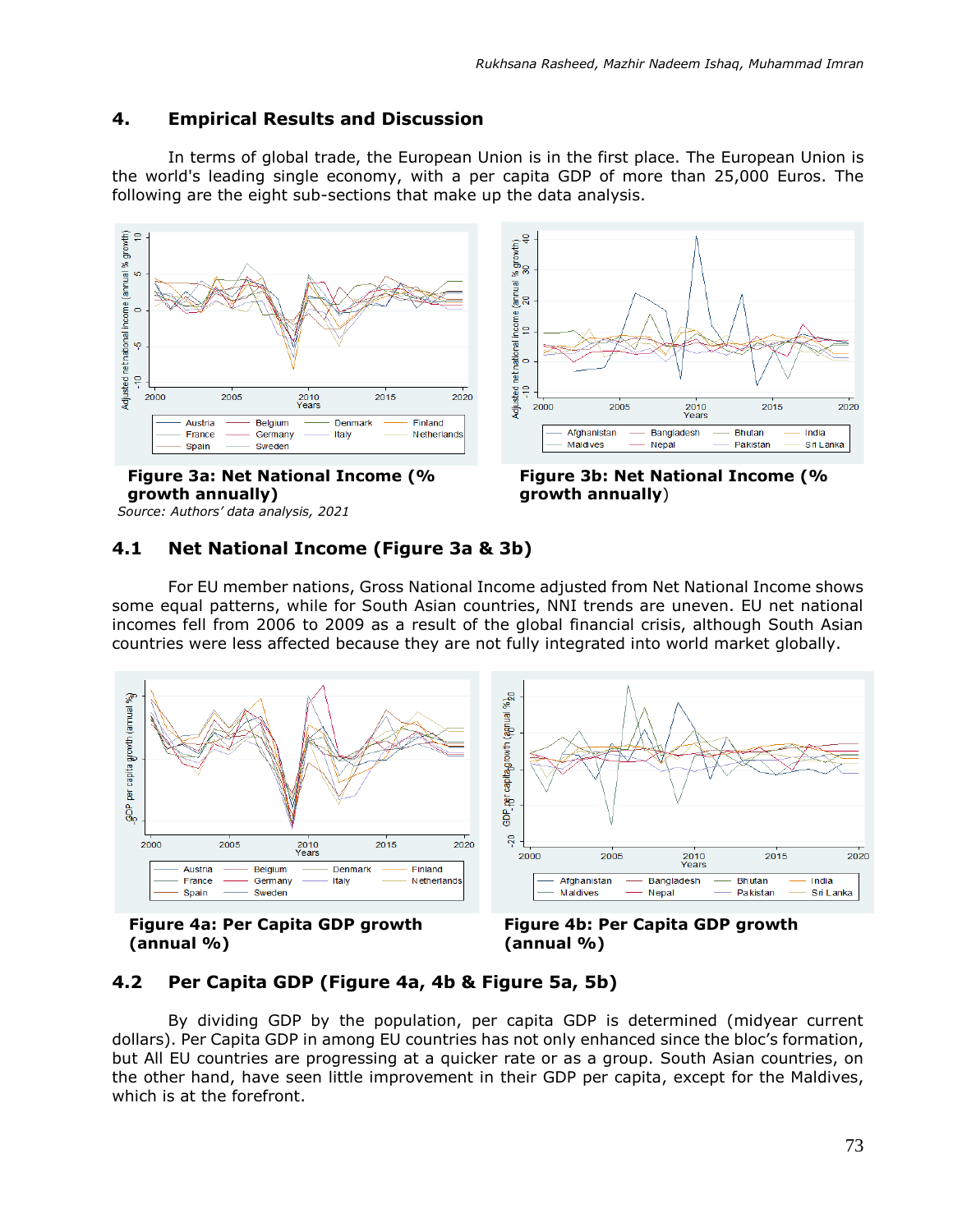# **4. Empirical Results and Discussion**

In terms of global trade, the European Union is in the first place. The European Union is the world's leading single economy, with a per capita GDP of more than 25,000 Euros. The following are the eight sub-sections that make up the data analysis.





**Figure 3a: Net National Income (% growth annually)** *Source: Authors' data analysis, 2021*

**Figure 3b: Net National Income (% growth annually**)

# **4.1 Net National Income (Figure 3a & 3b)**

For EU member nations, Gross National Income adjusted from Net National Income shows some equal patterns, while for South Asian countries, NNI trends are uneven. EU net national incomes fell from 2006 to 2009 as a result of the global financial crisis, although South Asian countries were less affected because they are not fully integrated into world market globally.





**Figure 4b: Per Capita GDP growth (annual %)**

# **4.2 Per Capita GDP (Figure 4a, 4b & Figure 5a, 5b)**

By dividing GDP by the population, per capita GDP is determined (midyear current dollars). Per Capita GDP in among EU countries has not only enhanced since the bloc's formation, but All EU countries are progressing at a quicker rate or as a group. South Asian countries, on the other hand, have seen little improvement in their GDP per capita, except for the Maldives, which is at the forefront.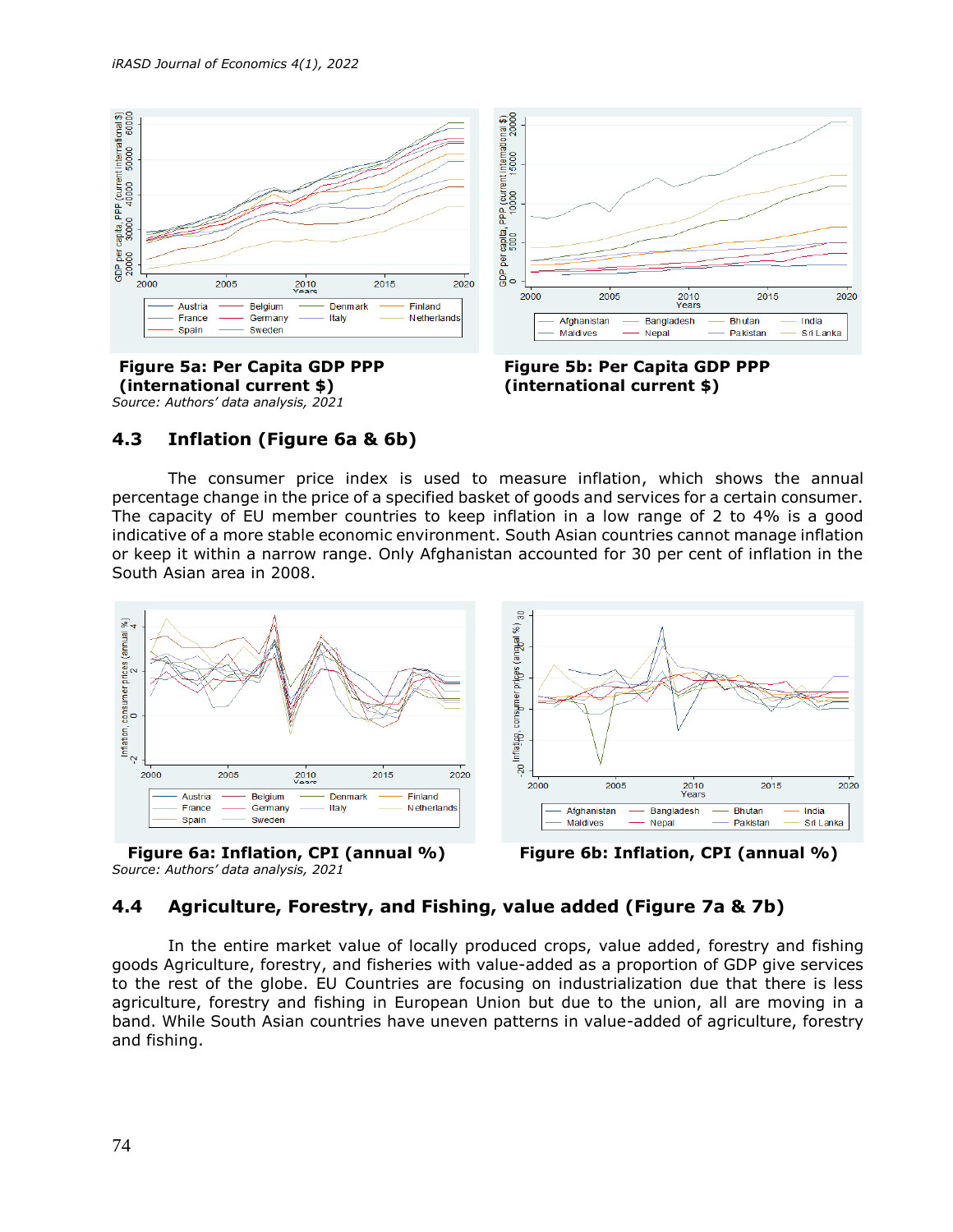



**Figure 5a: Per Capita GDP PPP (international current \$)** *Source: Authors' data analysis, 2021*



# **4.3 Inflation (Figure 6a & 6b)**

The consumer price index is used to measure inflation, which shows the annual percentage change in the price of a specified basket of goods and services for a certain consumer. The capacity of EU member countries to keep inflation in a low range of 2 to 4% is a good indicative of a more stable economic environment. South Asian countries cannot manage inflation or keep it within a narrow range. Only Afghanistan accounted for 30 per cent of inflation in the South Asian area in 2008.



*Source: Authors' data analysis, 2021*



# **4.4 Agriculture, Forestry, and Fishing, value added (Figure 7a & 7b)**

In the entire market value of locally produced crops, value added, forestry and fishing goods Agriculture, forestry, and fisheries with value-added as a proportion of GDP give services to the rest of the globe. EU Countries are focusing on industrialization due that there is less agriculture, forestry and fishing in European Union but due to the union, all are moving in a band. While South Asian countries have uneven patterns in value-added of agriculture, forestry and fishing.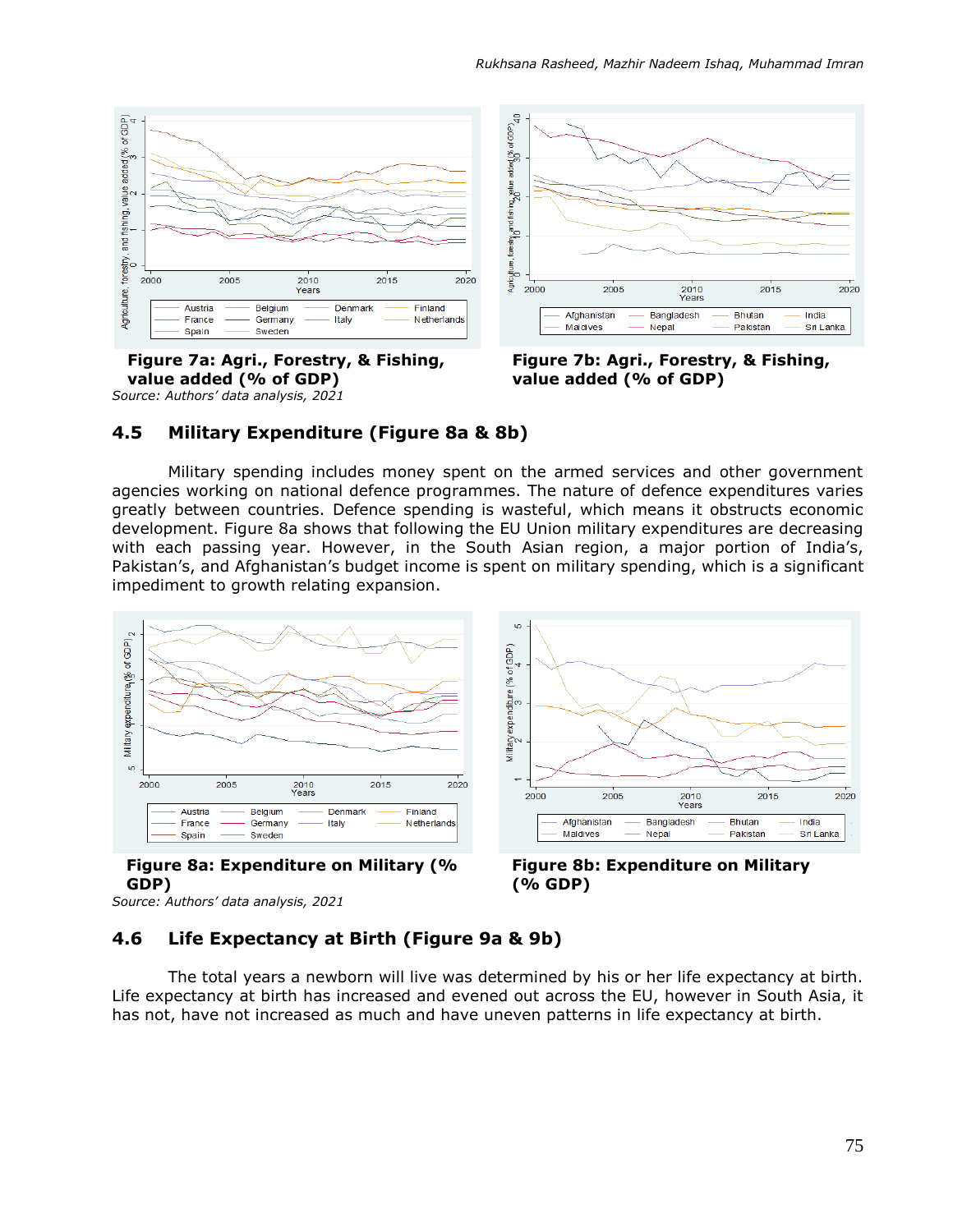

**Figure 7a: Agri., Forestry, & Fishing, value added (% of GDP)** *Source: Authors' data analysis, 2021*



**Figure 7b: Agri., Forestry, & Fishing, value added (% of GDP)** 

#### **4.5 Military Expenditure (Figure 8a & 8b)**

Military spending includes money spent on the armed services and other government agencies working on national defence programmes. The nature of defence expenditures varies greatly between countries. Defence spending is wasteful, which means it obstructs economic development. Figure 8a shows that following the EU Union military expenditures are decreasing with each passing year. However, in the South Asian region, a major portion of India's, Pakistan's, and Afghanistan's budget income is spent on military spending, which is a significant impediment to growth relating expansion.



**Figure 8a: Expenditure on Military (% GDP)**



*Source: Authors' data analysis, 2021*

# **4.6 Life Expectancy at Birth (Figure 9a & 9b)**

The total years a newborn will live was determined by his or her life expectancy at birth. Life expectancy at birth has increased and evened out across the EU, however in South Asia, it has not, have not increased as much and have uneven patterns in life expectancy at birth.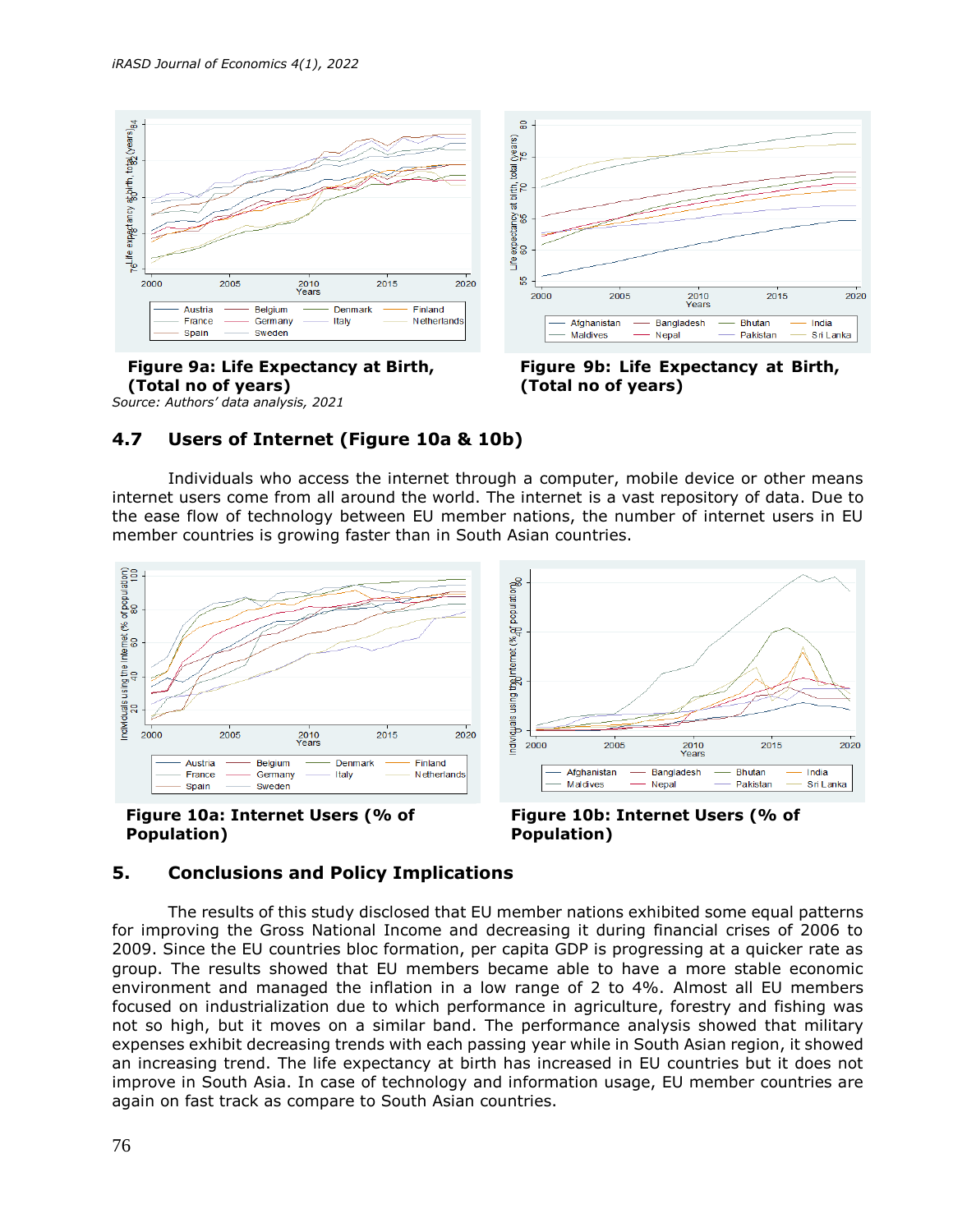

**Figure 9a: Life Expectancy at Birth, (Total no of years)** *Source: Authors' data analysis, 2021*



**Figure 9b: Life Expectancy at Birth, (Total no of years)**

# **4.7 Users of Internet (Figure 10a & 10b)**

Individuals who access the internet through a computer, mobile device or other means internet users come from all around the world. The internet is a vast repository of data. Due to the ease flow of technology between EU member nations, the number of internet users in EU member countries is growing faster than in South Asian countries.





**Figure 10b: Internet Users (% of Population)** 

# **5. Conclusions and Policy Implications**

The results of this study disclosed that EU member nations exhibited some equal patterns for improving the Gross National Income and decreasing it during financial crises of 2006 to 2009. Since the EU countries bloc formation, per capita GDP is progressing at a quicker rate as group. The results showed that EU members became able to have a more stable economic environment and managed the inflation in a low range of 2 to 4%. Almost all EU members focused on industrialization due to which performance in agriculture, forestry and fishing was not so high, but it moves on a similar band. The performance analysis showed that military expenses exhibit decreasing trends with each passing year while in South Asian region, it showed an increasing trend. The life expectancy at birth has increased in EU countries but it does not improve in South Asia. In case of technology and information usage, EU member countries are again on fast track as compare to South Asian countries.